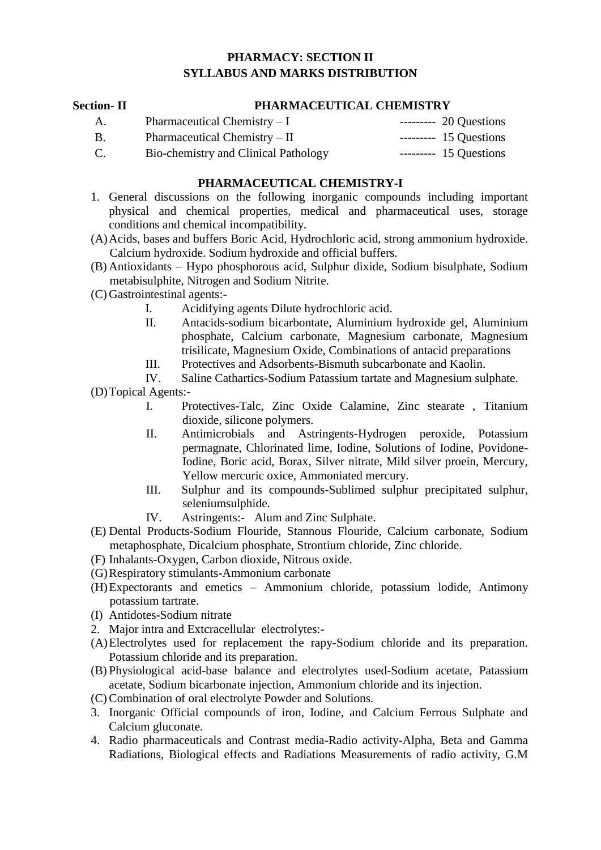## **PHARMACY: SECTION II SYLLABUS AND MARKS DISTRIBUTION**

#### **Section- II PHARMACEUTICAL CHEMISTRY**

A. Pharmaceutical Chemistry – I --------- 20 Questions B. Pharmaceutical Chemistry – II --------- 15 Questions C. Bio-chemistry and Clinical Pathology ---------- 15 Questions

#### **PHARMACEUTICAL CHEMISTRY-I**

- 1. General discussions on the following inorganic compounds including important physical and chemical properties, medical and pharmaceutical uses, storage conditions and chemical incompatibility.
- (A)Acids, bases and buffers Boric Acid, Hydrochloric acid, strong ammonium hydroxide. Calcium hydroxide. Sodium hydroxide and official buffers.
- (B) Antioxidants Hypo phosphorous acid, Sulphur dixide, Sodium bisulphate, Sodium metabisulphite, Nitrogen and Sodium Nitrite.
- (C) Gastrointestinal agents:-
	- I. Acidifying agents Dilute hydrochloric acid.
	- II. Antacids-sodium bicarbontate, Aluminium hydroxide gel, Aluminium phosphate, Calcium carbonate, Magnesium carbonate, Magnesium trisilicate, Magnesium Oxide, Combinations of antacid preparations
	- III. Protectives and Adsorbents-Bismuth subcarbonate and Kaolin.
	- IV. Saline Cathartics-Sodium Patassium tartate and Magnesium sulphate.

(D)Topical Agents:-

- I. Protectives-Talc, Zinc Oxide Calamine, Zinc stearate , Titanium dioxide, silicone polymers.
- II. Antimicrobials and Astringents-Hydrogen peroxide, Potassium permagnate, Chlorinated lime, Iodine, Solutions of Iodine, Povidone-Iodine, Boric acid, Borax, Silver nitrate, Mild silver proein, Mercury, Yellow mercuric oxice, Ammoniated mercury.
- III. Sulphur and its compounds-Sublimed sulphur precipitated sulphur, seleniumsulphide.
- IV. Astringents:- Alum and Zinc Sulphate.
- (E) Dental Products-Sodium Flouride, Stannous Flouride, Calcium carbonate, Sodium metaphosphate, Dicalcium phosphate, Strontium chloride, Zinc chloride.
- (F) Inhalants-Oxygen, Carbon dioxide, Nitrous oxide.
- (G)Respiratory stimulants-Ammonium carbonate
- (H)Expectorants and emetics Ammonium chloride, potassium lodide, Antimony potassium tartrate.
- (I) Antidotes-Sodium nitrate
- 2. Major intra and Extcracellular electrolytes:-
- (A)Electrolytes used for replacement the rapy-Sodium chloride and its preparation. Potassium chloride and its preparation.
- (B) Physiological acid-base balance and electrolytes used-Sodium acetate, Patassium acetate, Sodium bicarbonate injection, Ammonium chloride and its injection.
- (C)Combination of oral electrolyte Powder and Solutions.
- 3. Inorganic Official compounds of iron, Iodine, and Calcium Ferrous Sulphate and Calcium gluconate.
- 4. Radio pharmaceuticals and Contrast media-Radio activity-Alpha, Beta and Gamma Radiations, Biological effects and Radiations Measurements of radio activity, G.M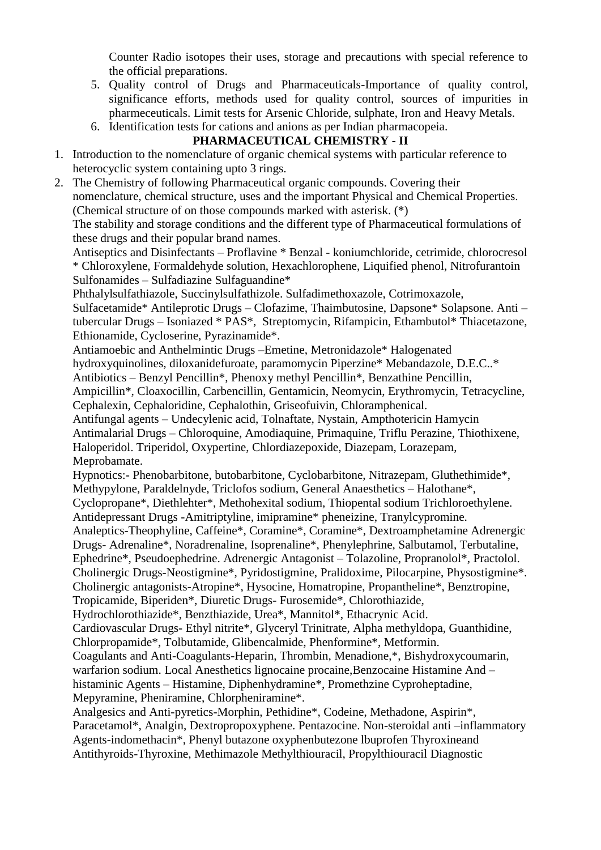Counter Radio isotopes their uses, storage and precautions with special reference to the official preparations.

- 5. Quality control of Drugs and Pharmaceuticals-Importance of quality control, significance efforts, methods used for quality control, sources of impurities in pharmeceuticals. Limit tests for Arsenic Chloride, sulphate, Iron and Heavy Metals.
- 6. Identification tests for cations and anions as per Indian pharmacopeia.

# **PHARMACEUTICAL CHEMISTRY - II**

- 1. Introduction to the nomenclature of organic chemical systems with particular reference to heterocyclic system containing upto 3 rings.
- 2. The Chemistry of following Pharmaceutical organic compounds. Covering their nomenclature, chemical structure, uses and the important Physical and Chemical Properties. (Chemical structure of on those compounds marked with asterisk. (\*)

The stability and storage conditions and the different type of Pharmaceutical formulations of these drugs and their popular brand names.

Antiseptics and Disinfectants – Proflavine \* Benzal - koniumchloride, cetrimide, chlorocresol \* Chloroxylene, Formaldehyde solution, Hexachlorophene, Liquified phenol, Nitrofurantoin Sulfonamides – Sulfadiazine Sulfaguandine\*

Phthalylsulfathiazole, Succinylsulfathizole. Sulfadimethoxazole, Cotrimoxazole,

Sulfacetamide\* Antileprotic Drugs – Clofazime, Thaimbutosine, Dapsone\* Solapsone. Anti – tubercular Drugs – Isoniazed \* PAS\*, Streptomycin, Rifampicin, Ethambutol\* Thiacetazone, Ethionamide, Cycloserine, Pyrazinamide\*.

Antiamoebic and Anthelmintic Drugs –Emetine, Metronidazole\* Halogenated

hydroxyquinolines, diloxanidefuroate, paramomycin Piperzine\* Mebandazole, D.E.C..\*

Antibiotics – Benzyl Pencillin\*, Phenoxy methyl Pencillin\*, Benzathine Pencillin,

Ampicillin\*, Cloaxocillin, Carbencillin, Gentamicin, Neomycin, Erythromycin, Tetracycline, Cephalexin, Cephaloridine, Cephalothin, Griseofuivin, Chloramphenical.

Antifungal agents – Undecylenic acid, Tolnaftate, Nystain, Ampthotericin Hamycin

Antimalarial Drugs – Chloroquine, Amodiaquine, Primaquine, Triflu Perazine, Thiothixene,

Haloperidol. Triperidol, Oxypertine, Chlordiazepoxide, Diazepam, Lorazepam, Meprobamate.

Hypnotics:- Phenobarbitone, butobarbitone, Cyclobarbitone, Nitrazepam, Gluthethimide\*, Methypylone, Paraldelnyde, Triclofos sodium, General Anaesthetics – Halothane\*,

Cyclopropane\*, Diethlehter\*, Methohexital sodium, Thiopental sodium Trichloroethylene. Antidepressant Drugs -Amitriptyline, imipramine\* pheneizine, Tranylcypromine.

Analeptics-Theophyline, Caffeine\*, Coramine\*, Coramine\*, Dextroamphetamine Adrenergic Drugs- Adrenaline\*, Noradrenaline, Isoprenaline\*, Phenylephrine, Salbutamol, Terbutaline, Ephedrine\*, Pseudoephedrine. Adrenergic Antagonist – Tolazoline, Propranolol\*, Practolol. Cholinergic Drugs-Neostigmine\*, Pyridostigmine, Pralidoxime, Pilocarpine, Physostigmine\*.

Cholinergic antagonists-Atropine\*, Hysocine, Homatropine, Propantheline\*, Benztropine, Tropicamide, Biperiden\*, Diuretic Drugs- Furosemide\*, Chlorothiazide,

Hydrochlorothiazide\*, Benzthiazide, Urea\*, Mannitol\*, Ethacrynic Acid.

Cardiovascular Drugs- Ethyl nitrite\*, Glyceryl Trinitrate, Alpha methyldopa, Guanthidine, Chlorpropamide\*, Tolbutamide, Glibencalmide, Phenformine\*, Metformin.

Coagulants and Anti-Coagulants-Heparin, Thrombin, Menadione,\*, Bishydroxycoumarin, warfarion sodium. Local Anesthetics lignocaine procaine,Benzocaine Histamine And – histaminic Agents – Histamine, Diphenhydramine\*, Promethzine Cyproheptadine, Mepyramine, Pheniramine, Chlorpheniramine\*.

Analgesics and Anti-pyretics-Morphin, Pethidine\*, Codeine, Methadone, Aspirin\*, Paracetamol\*, Analgin, Dextropropoxyphene. Pentazocine. Non-steroidal anti –inflammatory Agents-indomethacin\*, Phenyl butazone oxyphenbutezone lbuprofen Thyroxineand Antithyroids-Thyroxine, Methimazole Methylthiouracil, Propylthiouracil Diagnostic